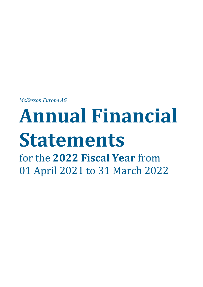*McKesson Europe AG*

# **Annual Financial Statements** for the **2022 Fiscal Year** from 01 April 2021 to 31 March 2022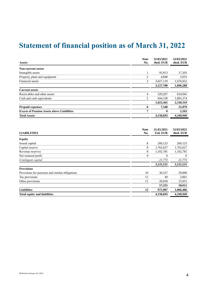# **Statement of financial position as of March 31, 2022**

| <b>Assets</b>                                     | <b>Note</b><br>No. | 31/03/2021<br>thsd. EUR | 31/03/2022<br>thsd. EUR |
|---------------------------------------------------|--------------------|-------------------------|-------------------------|
| <b>Non-current assets</b>                         |                    |                         |                         |
| Intangible assets                                 |                    | 95,813                  | 17,203                  |
| Property, plant and equipment                     | $\overline{c}$     | 4.848                   | 3,033                   |
| Financial assets                                  | 3                  | 3,027,119               | 1,676,052               |
|                                                   |                    | 3,127,780               | 1,696,288               |
| <b>Current assets</b>                             |                    |                         |                         |
| Receivables and other assets                      | 4                  | 329,207                 | 634,945                 |
| Cash and cash equivalents                         | 5                  | 694,158                 | 1,895,374               |
|                                                   |                    | 1,023,365               | 2,530,319               |
| <b>Prepaid expenses</b>                           | 6                  | 7,548                   | 21,079                  |
| <b>Excess of Pension Assets above Liabilities</b> | 7                  |                         | 2,263                   |
| <b>Total Assets</b>                               |                    | 4,158,693               | 4,249,949               |

| <b>LIABILITIES</b>                              | <b>Note</b><br>No. | 31.03.2021<br><b>Tsd. EUR</b> | 31/03/2022<br>thsd. EUR |
|-------------------------------------------------|--------------------|-------------------------------|-------------------------|
| <b>Equity</b>                                   |                    |                               |                         |
| Issued capital                                  | 8                  | 260,123                       | 260,123                 |
| Capital reserve                                 | 8                  | 1,762,627                     | 1,762,627               |
| Revenue reserves                                | 8                  | 1,102,781                     | 1,102,781               |
| Net retained profit                             | 9                  | $\mathbf{0}$                  | $\overline{0}$          |
| Contingent capital                              |                    | 21,773                        | 21,773                  |
|                                                 |                    | 3,125,531                     | 3,125,531               |
| <b>Provisions</b>                               |                    |                               |                         |
| Provisions for pensions and similar obligations | 10                 | 36,557                        | 39,000                  |
| Tax provisions                                  | 11                 | 40                            | 3,061                   |
| Other provisions                                | 11                 | 20,658                        | 15,951                  |
|                                                 |                    | 57,255                        | 58,012                  |
| <b>Liabilities</b>                              | 12                 | 975,907                       | 1,066,406               |
| <b>Total equity and liabilities</b>             |                    | 4,158,693                     | 4,249,949               |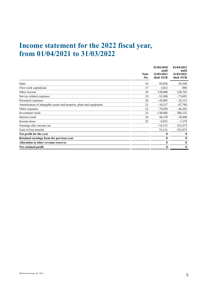# **Income statement for the 2022 fiscal year, from 01/04/2021 to 31/03/2022**

|                                                                     | <b>Note</b><br>No. | 01/04/2020<br>until<br>31/03/2021<br>thsd. EUR | 01/04/2021<br>until<br>31/03/2022<br>thsd. EUR |
|---------------------------------------------------------------------|--------------------|------------------------------------------------|------------------------------------------------|
| Sales                                                               | 16                 | 93,056                                         | 93,358                                         |
| Own work capitalized                                                | 17                 | 3,012                                          | 896                                            |
| Other income                                                        | 18                 | 139,680                                        | 126,763                                        |
| Service related expenses                                            | 19                 | $-53,306$                                      | $-73,691$                                      |
| Personnel expenses                                                  | 20                 | $-43,605$                                      | $-32,213$                                      |
| Amortization of intangible assets and property, plant and equipment | 21                 | $-10,517$                                      | $-87,769$                                      |
| Other expenses                                                      | 22                 | $-79,029$                                      | $-46,265$                                      |
| Investment result                                                   | 23                 | $-139,666$                                     | $-300,125$                                     |
| Interest result                                                     | 24                 | 44,139                                         | $-10,448$                                      |
| Income taxes                                                        | 25                 | $-6,915$                                       | $-1,579$                                       |
| Earnings after income tax                                           |                    | $-53,151$                                      | $-331,073$                                     |
| Gain of loss transfer                                               |                    | 53,151                                         | 331,073                                        |
| Net profit for the year                                             |                    | $\bf{0}$                                       | $\bf{0}$                                       |
| Retained earnings from the previous year                            |                    | $\bf{0}$                                       | $\bf{0}$                                       |
| <b>Allocation to other revenue reserves</b>                         |                    | $\bf{0}$                                       | $\bf{0}$                                       |
| Net retained profit                                                 |                    | $\bf{0}$                                       | $\bf{0}$                                       |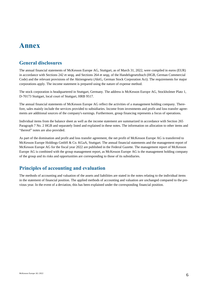# **Annex**

# **General disclosures**

The annual financial statements of McKesson Europe AG, Stuttgart, as of March 31, 2022, were compiled in euros (EUR) in accordance with Sections 242 et seqq. and Sections 264 et seqq. of the Handelsgesetzbuch (HGB, German Commercial Code) and the relevant provisions of the Aktiengesetz (AktG, German Stock Corporation Act). The requirements for major corporations apply. The income statement is prepared using the nature of expense method.

The stock corporation is headquartered in Stuttgart, Germany. The address is McKesson Europe AG, Stockholmer Platz 1, D-70173 Stuttgart, local court of Stuttgart, HRB 9517.

The annual financial statements of McKesson Europe AG reflect the activities of a management holding company. Therefore, sales mainly include the services provided to subsidiaries. Income from investments and profit and loss transfer agreements are additional sources of the company's earnings. Furthermore, group financing represents a focus of operations.

Individual items from the balance sheet as well as the income statement are summarized in accordance with Section 265 Paragraph 7 No. 2 HGB and separately listed and explained in these notes. The information on allocation to other items and "thereof" notes are also provided.

As part of the domination and profit and loss transfer agreement, the net profit of McKesson Europe AG is transferred to McKesson Europe Holdings GmbH & Co. KGaA, Stuttgart. The annual financial statements and the management report of McKesson Europe AG for the fiscal year 2022 are published in the Federal Gazette. The management report of McKesson Europe AG is combined with the group management report, as McKesson Europe AG is the management holding company of the group and its risks and opportunities are corresponding to those of its subsidiaries.

# **Principles of accounting and evaluation**

The methods of accounting and valuation of the assets and liabilities are stated in the notes relating to the individual items in the statement of financial position. The applied methods of accounting and valuation are unchanged compared to the previous year. In the event of a deviation, this has been explained under the corresponding financial position.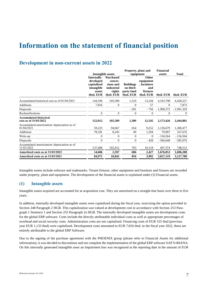# **Information on the statement of financial position**

# **Development in non-current assets in 2022**

|                  |                  |                                       |                                      | <b>Financial</b>                              |                     |
|------------------|------------------|---------------------------------------|--------------------------------------|-----------------------------------------------|---------------------|
|                  |                  |                                       |                                      | assets                                        | <b>Total</b>        |
| Internally-      | <b>Purchased</b> |                                       | <b>Other</b>                         |                                               |                     |
| developed        | conces-          |                                       | equipment                            |                                               |                     |
| capitalized      | sions and        | <b>Buildings</b>                      | , furniture                          |                                               |                     |
| intangible       | industrial       |                                       | and                                  |                                               |                     |
| assets           | rights           |                                       | fixtures                             |                                               |                     |
|                  |                  |                                       |                                      | thsd. EUR                                     | thsd. EUR           |
| 144,196          | 105,509          | 1,510                                 | 13,244                               | 4, 163, 798                                   | 4,428,257           |
| 7,816            | $\boldsymbol{0}$ | $\theta$                              | 57                                   | $\overline{0}$                                | 7,873               |
|                  |                  | $-201$                                |                                      |                                               | $-1,991,329$        |
| $\boldsymbol{0}$ | $\boldsymbol{0}$ | $\mathbf{0}$                          | $\theta$                             | $\overline{0}$                                | $\overline{0}$      |
|                  |                  |                                       |                                      |                                               |                     |
| 152,012          | 105,509          | 1,309                                 | 12,545                               | 2,173,426                                     | 2,444,801           |
|                  |                  |                                       |                                      |                                               |                     |
| 59,225           | 94,667           | 654                                   | 9,252                                | 1,136,679                                     | 1,300,477           |
| 78,181           | 8,245            | 49                                    | 1,294                                | 79,907                                        | 167,676             |
| $\boldsymbol{0}$ | $\overline{0}$   | $\theta$                              | $\overline{0}$                       | $-134,564$                                    | $-134,564$          |
| $\overline{0}$   | $\mathbf{0}$     | $\theta$                              | $-428$                               | $-584,648$                                    | $-585,076$          |
|                  |                  |                                       |                                      |                                               |                     |
| 137,406          | 102,912          | 703                                   | 10,118                               | 497,374                                       | 748,513             |
| 14,606           | 2,597            | 606                                   | 2,427                                | 1,676,052                                     | 1,696,288           |
| 84,971           | 10,842           | 856                                   | 3,992                                | 3,027,119                                     | 3,127,780           |
|                  | thsd. EUR        | <b>Intangible assets</b><br>thsd. EUR | on third-<br>party land<br>thsd. EUR | Property, plant and<br>equipment<br>thsd. EUR | $-756$ $-1,990,372$ |

Intangible assets include software and trademarks. Tenant fixtures, other equipment and furniture and fixtures are recorded under property, plant and equipment. The development of the financial assets is explained under (3) Financial assets.

#### **(1) Intangible assets**

Intangible assets acquired are accounted for at acquisition cost. They are amortized on a straight-line basis over three to five years.

In addition, internally developed intangible assets were capitalized during the fiscal year, exercising the option provided in Section 248 Paragraph 2 HGB. This capitalization was valued at development cost in accordance with Section 253 Paragraph 1 Sentence 1 and Section 255 Paragraph 2a HGB. The internally developed intangible assets are development costs for the global ERP software. Costs include the directly attributable individual costs as well as appropriate percentages of overhead and social security costs. Administration costs are not capitalized. Financing costs of EUR 525 thsd (previous year EUR 1,133 thsd) were capitalized. Development costs amounted to EUR 7,816 thsd. in the fiscal year 2022, these are entirely attributable to the global ERP Software.

Due to the signing of the purchase agreement with the PHOENIX group (please refer to Financial Assets for additional information), it was decided to discontinue and not complete the implementation of the global ERP software SAP S/4HANA. On this internally generated intangible asset an impairment loss was recognized at the reporting date in the amount of EUR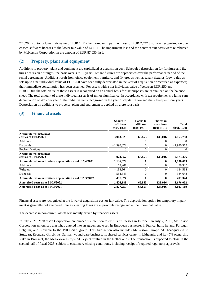72,620 thsd. to its lower fair value of EUR 1. Furthermore, an impairment loss of EUR 7,497 thsd. was recognized on purchased software licenses to the lower fair value of EUR 1. The impairment loss and the contract exit costs were reimbursed by McKesson Corporation in the amount of EUR 87,030 thsd.

#### **(2) Property, plant and equipment**

Additions to property, plant and equipment are capitalized at acquisition cost. Scheduled depreciation for furniture and fixtures occurs on a straight-line basis over 3 to 10 years. Tenant fixtures are depreciated over the performance period of the rental agreements. Additions result from office equipment, furniture, and fixtures as well as tenant fixtures. Low-value assets up to a net individual value of EUR 250 have been fully depreciated in the year of acquisition or recorded as expenses; their immediate consumption has been assumed. For assets with a net individual value of between EUR 250 and EUR 1,000, the total value of these assets is recognized on an annual basis for tax purposes are capitalized on the balance sheet. The total amount of these individual assets is of minor significance. In accordance with tax requirements a lump-sum depreciation of 20% per year of the initial value is recognized in the year of capitalization and the subsequent four years. Depreciation on additions to property, plant and equipment is applied on a pro rata basis.

#### **(3) Financial assets**

|                                                         | <b>Shares</b> in<br>affiliates<br>thsd. EUR | <b>Loans</b> to<br>affiliates<br>thsd. EUR | <b>Shares</b> in<br>associates<br>thsd. EUR | <b>Total</b><br>thsd. EUR |
|---------------------------------------------------------|---------------------------------------------|--------------------------------------------|---------------------------------------------|---------------------------|
| <b>Accumulated historical</b><br>cost as of 01/04/2021  | 3,963,929                                   | 66,853                                     | 133,016                                     | 4,163,798                 |
| <b>Additions</b>                                        | $\theta$                                    | $\theta$                                   | 0                                           | $\theta$                  |
| Disposals                                               | $-1,990,372$                                | $\Omega$                                   | $\overline{0}$                              | $-1,990,372$              |
| Reclassifications                                       | 0                                           | $\theta$                                   | $\Omega$                                    | $\theta$                  |
| <b>Accumulated historical</b><br>cost as of 31/03/2022  | 1,973,557                                   | 66,853                                     | 133,016                                     | 2,173,426                 |
| Accumulated amortization/depreciation as of 01/04/2021  | 1,136,679                                   | 0                                          | $\mathbf{0}$                                | 1,136,679                 |
| <b>Additions</b>                                        | 79,907                                      | $\theta$                                   | $\overline{0}$                              | 79,907                    |
| Write-up                                                | $-134,564$                                  | $\theta$                                   | $\overline{0}$                              | $-134,564$                |
| Disposals                                               | $-584,648$                                  | $\theta$                                   | $\Omega$                                    | $-584,648$                |
| Accumulated amortization/ depreciation as of 31/03/2022 | 497,374                                     | $\mathbf{0}$                               | 0                                           | 497,374                   |
| Amortized costs as at 31/03/2022                        | 1,476,183                                   | 66,853                                     | 133,016                                     | 1,676,052                 |
| Amortized costs as at 31/03/2021                        | 2,827,250                                   | 66,853                                     | 133,016                                     | 3,027,119                 |

Financial assets are recognized at the lower of acquisition cost or fair value. The depreciation option for temporary impairment is generally not exercised. Interest-bearing loans are in principle recognized at their nominal value.

The decrease in non-current assets was mainly driven by financial assets.

In July 2021, McKesson Corporation announced its intention to exit its businesses in Europe. On July 7, 2021, McKesson Corporation announced that it had entered into an agreement to sell its European businesses in France, Italy, Ireland, Portugal, Belgium, and Slovenia to the PHOENIX group. This transaction also includes McKesson Europe AG headquarters in Stuttgart, Recucare GmbH, its German wound-care business, its shared services center in Lithuania, and its 45% ownership stake in Brocacef, the McKesson Europe AG's joint venture in the Netherlands. The transaction is expected to close in the second half of fiscal 2023, subject to customary closing conditions, including receipt of required regulatory approvals.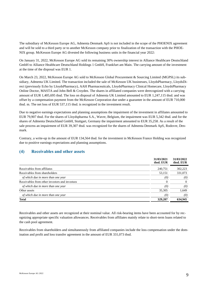The subsidiary of McKesson Europe AG, Admenta Denmark ApS is not included in the scope of the PHOENIX agreement and will be sold to a third party or to another McKesson company prior to finalization of the transaction with the PHOE-NIX group. McKesson Europe AG divested the following business units in the financial year 2022:

On January 31, 2022, McKesson Europe AG sold its remaining 30% ownership interest in Alliance Healthcare Deutschland GmbH to Alliance Healthcare Deutschland Holdings 1 GmbH, Frankfurt am Main. The carrying amount of the investment at the time of the disposal was EUR 1.

On March 23, 2022, McKesson Europe AG sold to McKesson Global Procurement & Sourcing Limited (MGPSL) its subsidiary, Admenta UK Limited. The transaction included the sale of McKesson UK businesses, LloydsPharmacy, LloydsDirect (previously Echo by LloydsPharmacy), AAH Pharmaceuticals, LloydsPharmacy Clinical Homecare, LloydsPharmacy Online Doctor, MASTA and John Bell & Croyden. The shares in affiliated companies were derecognized with a carrying amount of EUR 1,405,695 thsd. The loss on disposal of Admenta UK Limited amounted to EUR 1,247,115 thsd. and was offset by a compensation payment from the McKesson Corporation due under a guarantee in the amount of EUR 710,000 thsd. m. The net loss of EUR 537,115 thsd. is recognized in the investment result.

Due to negative earnings expectations and planning assumptions the impairment of the investment in affiliates amounted to EUR 79,907 thsd. For the shares of Lloydspharma S.A., Wavre, Belgium, the impairment was EUR 5,342 thsd. and for the shares of Admenta Deutschland GmbH, Stuttgart, Germany the impairment amounted to EUR 35,258. As a result of the sale process an impairment of EUR 39,307 thsd. was recognized for the shares of Admenta Denmark ApS, Rodovre, Denmark.

Contrary, a write-up in the amount of EUR 134,564 thsd. for the investment in McKesson France Holding was recognized due to positive earnings expectations and planning assumptions.

#### **(4) Receivables and other assets**

|                                                | 31/03/2021<br>thsd. EUR | 31/03/2022<br>thsd. EUR |
|------------------------------------------------|-------------------------|-------------------------|
| Receivables from affiliates                    | 240,751                 | 302,223                 |
| Receivables from shareholders                  | 53,151                  | 331,073                 |
| of which due in more than one year             | (0)                     | (0)                     |
| Receivables from other investors and investees |                         | $\Omega$                |
| of which due in more than one year             | (0)                     | (0)                     |
| Other assets                                   | 35,305                  | 1,649                   |
| of which due in more than one year             | (0)                     | (0)                     |
| <b>Total</b>                                   | 329,207                 | 634.945                 |

Receivables and other assets are recognized at their nominal value. All risk-bearing items have been accounted for by recognizing appropriate specific valuation allowances. Receivables from affiliates mainly relate to short-term loans related to the cash pool agreement.

Receivables from shareholders and simultaneously from affiliated companies include the loss compensation under the domination and profit and loss transfer agreement in the amount of EUR 331,073 thsd.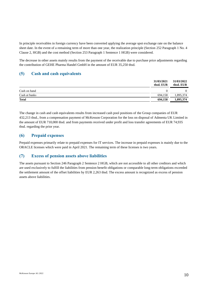In principle receivables in foreign currency have been converted applying the average spot exchange rate on the balance sheet date. In the event of a remaining term of more than one year, the realization principle (Section 252 Paragraph 1 No. 4 Clause 2, HGB) and the cost method (Section 253 Paragraph 1 Sentence 1 HGB) were considered.

The decrease in other assets mainly results from the payment of the receivable due to purchase price adjustments regarding the contribution of GEHE Pharma Handel GmbH in the amount of EUR 35,250 thsd.

#### **(5) Cash and cash equivalents**

|               | 31/03/2021<br>thsd. EUR | 31/03/2022<br>thsd. EUR |
|---------------|-------------------------|-------------------------|
| Cash on hand  |                         | 0                       |
| Cash at banks | 694.158                 | 1,895,374               |
| <b>Total</b>  | 694,158                 | 1,895,374               |

The change in cash and cash equivalents results from increased cash pool positions of the Group companies of EUR 432,213 thsd., from a compensation payment of McKesson Corporation for the loss on disposal of Admenta UK Limited in the amount of EUR 710,000 thsd. and from payments received under profit and loss transfer agreements of EUR 74,935 thsd. regarding the prior year.

#### **(6) Prepaid expenses**

Prepaid expenses primarily relate to prepaid expenses for IT services. The increase in prepaid expenses is mainly due to the ORACLE licenses which were paid in April 2021. The remaining term of these licenses is two years.

#### **(7) Excess of pension assets above liabilities**

The assets pursuant to Section 246 Paragraph 2 Sentence 2 HGB, which are not accessible to all other creditors and which are used exclusively to fulfill the liabilities from pension benefit obligations or comparable long-term obligations exceeded the settlement amount of the offset liabilities by EUR 2,263 thsd. The excess amount is recognized as excess of pension assets above liabilities.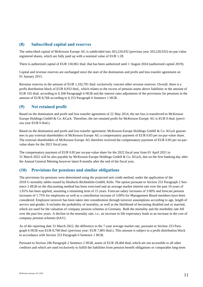#### **(8) Subscribed capital and reserves**

The subscribed capital of McKesson Europe AG is subdivided into 203,220,932 (previous year 203,220,932) no-par-value registered shares, which are fully paid up with a nominal value of EUR 1.28.

There is authorized capital of EUR 130,061 thsd. that has been authorized until 1 August 2024 (authorized capital 2019).

Capital and revenue reserves are unchanged since the start of the domination and profit and loss transfer agreement on 01 January 2015.

Revenue reserves in the amount of EUR 1,102,781 thsd. exclusively concern other revenue reserves. Overall, there is a profit distribution block of EUR 8,933 thsd., which relates to the excess of pension assets above liabilities in the amount of EUR 165 thsd. according to § 268 Paragrapgh 6 HGB and the interest rates adjustment of the provisions for pensions in the amount of EUR 8,768 according to § 253 Paragraph 6 Sentence 1 HGB.

#### **(9) Net retained profit**

Based on the domination and profit and loss transfer agreement of 22 May 2014, the net loss is transferred to McKesson Europe Holdings GmbH & Co. KGaA. Therefore, the net retained profit for McKesson Europe AG is EUR 0 thsd. (previous year EUR 0 thsd.).

Based on the domination and profit and loss transfer agreement, McKesson Europe Holdings GmbH & Co. KGaA guarantees to pay external shareholders of McKesson Europe AG a compensatory payment of EUR 0.83 per no-par-value share. The external shareholders of McKesson Europe AG therefore received the compensatory payment of EUR 0.83 per no-parvalue share for the 2021 fiscal year.

The compensatory payment of EUR 0.83 per no-par-value share for the 2022 fiscal year from 01 April 2021 to 31 March 2022 will be also payable by McKesson Europe Holdings GmbH & Co. KGaA, due on the first banking day after the Annual General Meeting however latest 8 months after the end of the fiscal year.

#### **(10) Provisions for pensions and similar obligations**

The provisions for pensions were determined using the projected unit credit method, under the application of the 2018 G mortality tables issued by Heubeck-Richttafeln-GmbH, Köln. The option pursuant to Section 253 Paragraph 2 Sentence 2 HGB on the discounting method has been exercised and an average market interest rate over the past 10 years of 1.81% has been applied, assuming a remaining term of 15 years. Forecast salary increases of 3.00% and forecast pension increases of 1.75% for employees as well as a contribution increase of 3.00% for Management Board members have been considered. Employee turnover has been taken into consideration through turnover assumptions according to age, length of service and gender. It includes the probability of mortality, as well as the likelihood of becoming disabled and or married, which are used for the valuation of company pension schemes in Germany. Both the mortality and the morbidity rate fell over the past few years. A decline in the mortality rate, i.e., an increase in life expectancy leads to an increase in the cost of company pension schemes (bAV).

As of the reporting date 31 March 2022, the difference to the 7-year average market rate, pursuant to Section 253 Paragraph 6 HGB was EUR 8,768 thsd. (previous year: EUR 7,805 thsd.). This amount is subject to a profit distribution block in accordance with Section 253 Paragraph 6 Sentence 1 HGB.

Pursuant to Section 246 Paragraph 2 Sentence 2 HGB, assets of EUR 28,404 thsd, which are not accessible to all other creditors and which are used exclusively to fulfill the liabilities from pension benefit obligations or comparable long-term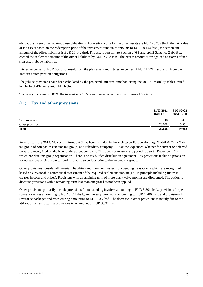obligations, were offset against these obligations. Acquisition costs for the offset assets are EUR 28,239 thsd., the fair value of the assets based on the redemption price of the investment fund units amounts to EUR 28,404 thsd., the settlement amount of the offset liabilities is EUR 26,142 thsd. The assets pursuant to Section 246 Paragraph 2 Sentence 2 HGB exceeded the settlement amount of the offset liabilities by EUR 2,263 thsd. The excess amount is recognized as excess of pension assets above liabilities.

Interest expenses of EUR 666 thsd. result from the plan assets and interest expenses of EUR 1,721 thsd. result from the liabilities from pension obligations.

The jubilee provisions have been calculated by the projected unit credit method, using the 2018 G mortality tables issued by Heubeck-Richttafeln-GmbH, Köln.

The salary increase is 3.00%, the interest rate 1.35% and the expected pension increase 1.75% p.a.

### **(11) Tax and other provisions**

|                  | 31/03/2021<br>thsd. EUR | 31/03/2022<br>thsd. EUR |
|------------------|-------------------------|-------------------------|
| Tax provisions   | 40                      | 3.061                   |
| Other provisions | 20.658                  | 15,951                  |
| <b>Total</b>     | 20,698                  | 19.012                  |

From 01 January 2015, McKesson Europe AG has been included in the McKesson Europe Holdings GmbH & Co. KGaA tax group of companies (income tax group) as a subsidiary company. All tax consequences, whether for current or deferred taxes, are recognized on the level of the parent company. This does not relate to the periods up to 31 December 2014, which pre-date this group organization. There is no tax burden distribution agreement. Tax provisions include a provision for obligations arising from tax audits relating to periods prior to the income tax group.

Other provisions consider all uncertain liabilities and imminent losses from pending transactions which are recognized based on a reasonable commercial assessment of the required settlement amount (i.e., in principle including future increases in costs and prices). Provisions with a remaining term of more than twelve months are discounted. The option to discount provisions with a remaining term less than one year has not been applied.

Other provisions primarily include provisions for outstanding invoices amounting to EUR 5,361 thsd., provisions for personnel expenses amounting to EUR 6,511 thsd., anniversary provisions amounting to EUR 1,286 thsd. and provisions for severance packages and restructuring amounting to EUR 335 thsd. The decrease in other provisions is mainly due to the utilization of restructuring provisions in an amount of EUR 3,332 thsd.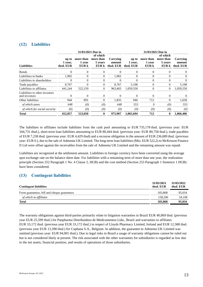### **(12) Liabilities**

|                                                 |                               | 31/03/2021 Due in            |                                           |                                 |                               | 31/03/2022 Due in            |                                           |                                 |  |
|-------------------------------------------------|-------------------------------|------------------------------|-------------------------------------------|---------------------------------|-------------------------------|------------------------------|-------------------------------------------|---------------------------------|--|
| <b>Liabilities</b>                              | up to<br>1 year,<br>thsd. EUR | more than<br>1 year<br>EUR k | of which<br>more than<br>5 years<br>EUR k | Carrving<br>amount<br>thsd. EUR | up to<br>1 year,<br>thsd. EUR | more than<br>1 year<br>EUR k | of which<br>more than<br>5 years<br>EUR k | Carrying<br>amount<br>thsd. EUR |  |
| <b>Bonds</b>                                    | $\Omega$                      | $\mathbf{0}$                 | $\Omega$                                  | $\Omega$                        | $\theta$                      | $\overline{0}$               | $\theta$                                  | $\overline{0}$                  |  |
| Liabilities to banks                            | 1.902                         | $\mathbf{0}$                 | $\Omega$                                  | 1,902                           | $\Omega$                      | $\Omega$                     | $\Omega$                                  | $\overline{0}$                  |  |
| Liabilities to shareholders                     | $\Omega$                      | $\mathbf{0}$                 | $\Omega$                                  | $\Omega$                        | $\Omega$                      | $\Omega$                     | $\Omega$                                  | $\Omega$                        |  |
| Trade payables                                  | 8,767                         | $\overline{0}$               | $\overline{0}$                            | 8,767                           | 5,198                         | $\mathbf{0}$                 | $\overline{0}$                            | 5,198                           |  |
| Liabilities to affiliates                       | 441.244                       | 522,159                      | $\mathbf{0}$                              | 963.403                         | 1.059.550                     | $\overline{0}$               | $\theta$                                  | 1,059,550                       |  |
| Liabilities to other investors<br>and investees | $\Omega$                      | $\mathbf{0}$                 | $\Omega$                                  | $\Omega$                        | $\Omega$                      | $\Omega$                     | $\Omega$                                  | $\Omega$                        |  |
| Other liabilities                               | 944                           | 891                          | $\overline{0}$                            | 1,835                           | 946                           | 712                          | $\overline{0}$                            | 1,658                           |  |
| of which taxes                                  | 648                           | (0)                          | (0)                                       | 648                             | 553                           | 0                            | (0)                                       | 553                             |  |
| of which for social security                    | (0)                           | (0)                          | (0)                                       | (0)                             | (0)                           | (0)                          | (0)                                       | (0)                             |  |
| Total                                           | 452,857                       | 523,050                      | 0                                         | 975,907                         | 1.065.694                     | 712                          | $\mathbf{0}$                              | 1.066.406                       |  |

The liabilities to affiliates include liabilities from the cash pool amounting to EUR 735,178 thsd. (previous year: EUR 344,731 thsd.), short-term loan liabilities amounting to EUR 80,444 thsd. (previous year: EUR 80,758 thsd.), trade payables of EUR 7,238 thsd. (previous year: EUR 4,429 thsd) and a recourse obligation in the amount of EUR 236,689 thsd. (previous year: EUR 0.), due to the sale of Admenta UK Limited. The long-term loan liabilities (Mio. EUR 522,2) to McKesson Finance II Ltd were offset against the receivables from the sale of Admenta UK Limited and the remaining amount was repaid.

Liabilities are recognized at the settlement amount. Liabilities in foreign currency have been converted using the average spot exchange rate on the balance sheet date. For liabilities with a remaining term of more than one year, the realization principle (Section 252 Paragraph 1 No. 4 Clause 2, HGB) and the cost method (Section 253 Paragraph 1 Sentence 1 HGB) have been considered.

#### **(13) Contingent liabilities**

| <b>Contingent liabilities</b>               | 31/03/2021<br>thsd. EUR | 31/03/2022<br>thsd. EUR |
|---------------------------------------------|-------------------------|-------------------------|
| From guarantees, bill and cheque guarantees | 183.868                 | 95,034                  |
| of which to affiliates                      | 158,206                 | 54.106                  |
| <b>Total</b>                                | 183,868                 | 95,034                  |

The warranty obligations against third-parties primarily relate to litigation warranties in Brazil EUR 40,869 thsd. (previous year EUR 25,599 thsd.) for Panpharma Distribuidora de Medicamentos Ltda., Brazil and warranties to affiliates EUR 33,172 thsd. (previous year EUR 33,172 thsd.) in respect of Lloyds Pharmacy Limited, Ireland and EUR 12,588 thsd. (previous year EUR 13,398 thsd.) for Cophana S.A., Belgium. In addition, the guarantee to Admenta UK Limited was omitted (previous year: EUR 94,001 thsd.). Due to legal risks in Brazil a usage of warranty obligations cannot be ruled out but is not considered likely at present. The risk associated with the other warranties for subsidiaries is regarded as low due to the net assets, financial position, and results of operations of those subsidiaries.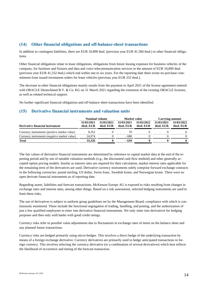### **(14) Other financial obligations and off-balance-sheet transactions**

In addition to contingent liabilities, there are EUR 10,890 thsd. (previous year EUR 41,584 thsd.) in other financial obligations.

Other financial obligations relate to lease obligations, obligations from future leasing expenses for business vehicles of the company, for furniture and fixtures and data and voice telecommunication services in the amount of EUR 10,890 thsd. (previous year EUR 41,332 thsd,) which end within one to six years. For the reporting date there exists no purchase commitment from issued investment orders for lease vehicles (previous year EUR 252 thsd.).

The decrease in other financial obligations mainly results from the payment in April 2021 of the license agreement entered with ORACLE Deutschland B.V. & Co. KG on 31 March 2021 regarding the extension of the existing ORACLE licenses, as well as related technical support.

No further significant financial obligations and off-balance sheet transactions have been identified.

### **(15) Derivative financial instruments and valuation units**

|                                              | <b>Nominal volume</b>   |                         | Market value            |                         | Carrying amount         |                         |
|----------------------------------------------|-------------------------|-------------------------|-------------------------|-------------------------|-------------------------|-------------------------|
| Derivative financial instrument              | 31/03/2021<br>thsd. EUR | 31/03/2022<br>thsd. EUR | 31/03/2021<br>thsd. EUR | 31/03/2022<br>thsd. EUR | 31/03/2021<br>thsd. EUR | 31/03/2022<br>thsd. EUR |
| Currency instruments (positive market value) | 8.352                   |                         | 70                      |                         |                         | $\Omega$                |
| Currency instruments (negative market value) | 24,974                  |                         | $-680$                  |                         |                         | 0                       |
| <b>Total</b>                                 | 33.326                  |                         | $-610$                  |                         |                         |                         |

The fair values of derivative financial instruments are determined by reference to capital market data at the end of the reporting period and by use of suitable valuation methods (e.g., the discounted cash flow method) and other generally accepted option pricing models. Insofar as interest rates are required for their calculation, market interest rates applicable for the remaining term of the derivatives are used. Derivative currency instruments solely comprise forward exchange contracts in the following currencies: pound sterling, US dollar, Swiss franc, Swedish krone, and Norwegian krone. There were no open derivate financial instruments as of reporting date.

Regarding assets, liabilities and forecast transactions, McKesson Europe AG is exposed to risks resulting from changes in exchange rates and interest rates, among other things. Based on a risk assessment, selected hedging instruments are used to limit these risks.

The use of derivatives is subject to uniform group guidelines set by the Management Board, compliance with which is continuously monitored. These include the functional segregation of trading, handling, and posting, and the authorization of just a few qualified employees to enter into derivative financial instruments. We only enter into derivatives for hedging purposes and then only with banks with good credit ratings.

Currency risks refer to possible value adjustments due to fluctuations in exchange rates of items on the balance sheet and any planned future transactions.

Currency risks are hedged primarily using micro-hedges. This involves a direct hedge of the underlying transaction by means of a foreign exchange derivative. Currency derivatives are primarily used to hedge anticipated transactions in foreign currency. This involves selecting the currency derivative (or a combination of several derivatives) which best reflects the likelihood of occurrence and timing of the forecast transaction.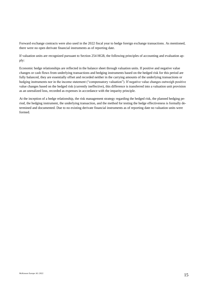Forward exchange contracts were also used in the 2022 fiscal year to hedge foreign exchange transactions. As mentioned, there were no open derivate financial instruments as of reporting date.

If valuation units are recognized pursuant to Section 254 HGB, the following principles of accounting and evaluation apply:

Economic hedge relationships are reflected in the balance sheet through valuation units. If positive and negative value changes or cash flows from underlying transactions and hedging instruments based on the hedged risk for this period are fully balanced, they are essentially offset and recorded neither in the carrying amounts of the underlying transactions or hedging instruments nor in the income statement ("compensatory valuation"). If negative value changes outweigh positive value changes based on the hedged risk (currently ineffective), this difference is transferred into a valuation unit provision as an unrealized loss, recorded as expenses in accordance with the imparity principle.

At the inception of a hedge relationship, the risk management strategy regarding the hedged risk, the planned hedging period, the hedging instrument, the underlying transaction, and the method for testing the hedge effectiveness is formally determined and documented. Due to no existing derivate financial instruments as of reporting date no valuation units were formed.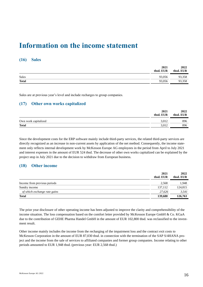# **Information on the income statement**

#### **(16) Sales**

|              | 2021<br>thsd. EUR | 2022<br>thsd. EUR |
|--------------|-------------------|-------------------|
| Sales        | 93,056            | 93,358            |
| <b>Total</b> | 93,056            | 93,358            |

Sales are at previous year's level and include recharges to group companies.

#### **(17) Other own works capitalized**

|                      | 2021<br>thsd. EUR | 2022<br>thsd. EUR |
|----------------------|-------------------|-------------------|
| Own work capitalized | 3.012             | 896               |
| <b>Total</b>         | 3,012             | 896               |

Since the development costs for the ERP software mainly include third-party services, the related third-party services are directly recognized as an increase in non-current assets by application of the net method. Consequently, the income statement only reflects internal development work by McKesson Europe AG employees in the period from April to July 2021 and interest expenses in the amount of EUR 524 thsd. The decrease of other own works capitalized can be explained by the project stop in July 2021 due to the decision to withdraw from European business.

#### **(18) Other income**

|                              | 2021<br>thsd. EUR | 2022<br>thsd. EUR |
|------------------------------|-------------------|-------------------|
| Income from previous periods | 2,568             | 1,948             |
| Sundry income                | 137,112           | 124,815           |
| of which exchange rate gains | 27.626            | 3,541             |
| <b>Total</b>                 | 139,680           | 126,763           |

The prior year disclosure of other operating income has been adjusted to improve the clarity and comprehensibility of the income situation. The loss compensation based on the comfort letter provided by McKesson Europe GmbH & Co. KGaA due to the contribution of GEHE Pharma Handel GmbH in the amount of EUR 102,800 thsd. was reclassified to the investment result.

Other income mainly includes the income from the recharging of the impairment loss and the contract exit costs to McKesson Corporation in the amount of EUR 87,030 thsd. in connection with the termination of the SAP S/4HANA project and the income from the sale of services to affiliated companies and former group companies. Income relating to other periods amounted to EUR 1,948 thsd. (previous year: EUR 2,568 thsd.)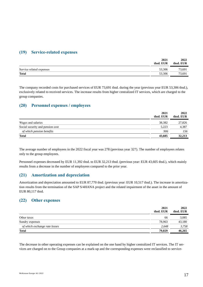#### **(19) Service-related expenses**

|                          | 2021<br>thsd. EUR | 2022<br>thsd. EUR |
|--------------------------|-------------------|-------------------|
| Service related expenses | 53,306            | 73,691            |
| <b>Total</b>             | 53,306            | 73,691            |

The company recorded costs for purchased services of EUR 73,691 thsd. during the year (previous year EUR 53,306 thsd.), exclusively related to received services. The increase results from higher centralized IT services, which are charged to the group companies.

#### **(20) Personnel expenses / employees**

|                                  | 2021<br>thsd. EUR | 2022<br>thsd. EUR |
|----------------------------------|-------------------|-------------------|
| Wages and salaries               | 38,382            | 27,826            |
| Social security and pension cost | 5.223             | 4,387             |
| of which pension benefits        | 906               | 156               |
| <b>Total</b>                     | 43,605            | 32,213            |

The average number of employees in the 2022 fiscal year was 278 (previous year 327). The number of employees relates only to the group employees.

Personnel expenses decreased by EUR 11,392 thsd. to EUR 32,213 thsd. (previous year: EUR 43,605 thsd.), which mainly results from a decrease in the number of employees compared to the prior year.

#### **(21) Amortization and depreciation**

Amortization and depreciation amounted to EUR 87,770 thsd. (previous year: EUR 10,517 thsd.). The increase in amortization results from the termination of the SAP S/4HANA project and the related impairment of the asset in the amount of EUR 80,117 thsd.

#### **(22) Other expenses**

| 2021<br>thsd. EUR | 2022<br>thsd. EUR |
|-------------------|-------------------|
| 66                | 3,085             |
| 78.963            | 43.180            |
| 2.648             | 3,758             |
| 79,029            | 46,265            |
|                   |                   |

The decrease in other operating expenses can be explained on the one hand by higher centralized IT services. The IT services are charged on to the Group companies at a mark-up and the corresponding expenses were reclassified to service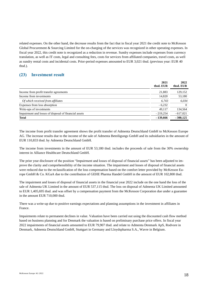related expenses. On the other hand, the decrease results from the fact that in fiscal year 2021 the credit note to McKesson Global Procurement & Sourcing Limited for the on-charging of the services was recognized in other operating expenses. In fiscal year 2022, this credit note is recognized as a reduction in revenue. Sundry expenses include expenses from currency translation, as well as IT costs, legal and consulting fees, costs for services from affiliated companies, travel costs, as well as sundry rental costs and incidental costs. Prior-period expenses amounted to EUR 3,021 thsd. (previous year: EUR 40 thsd.).

#### **(23) Investment result**

|                                                       | 2021<br>thsd. EUR | 2022<br>thsd. EUR |
|-------------------------------------------------------|-------------------|-------------------|
| Income from profit transfer agreements                | 21,883            | 129,152           |
| Income from investments                               | 14,820            | 53,180            |
| Of which received from affiliates                     | 6,743             | 6,034             |
| Expenses from loss absorption                         | $-6,232$          | $\Omega$          |
| Write-ups of investments                              | 49.117            | 134.564           |
| Impairment and losses of disposal of financial assets | $-219,254$        | $-617,021$        |
| <b>Total</b>                                          | $-139,666$        | $-300,125$        |

The income from profit transfer agreement shows the profit transfer of Admenta Deutschland GmbH to McKesson Europe AG. The increase results due to the income of the sale of Admenta Beteiligungs GmbH and its subsidiaries in the amount of EUR 110,833 thsd. by Admenta Deutschland GmbH.

The income from investments in the amount of EUR 53,180 thsd. includes the proceeds of sale from the 30% ownership interest in Alliance Healthcare Deutschland GmbH.

The prior year disclosure of the position "Impairment and losses of disposal of financial assets" has been adjusted to improve the clarity and comprehensibility of the income situation. The impairment and losses of disposal of financial assets were reduced due to the reclassification of the loss compensation based on the comfort letter provided by McKesson Europe GmbH & Co. KGaA due to the contribution of GEHE Pharma Handel GmbH in the amount of EUR 102,800 thsd.

The impairment and losses of disposal of financial assets in the financial year 2022 include on the one hand the loss of the sale of Admenta UK Limited in the amount of EUR 537,115 thsd. The loss on disposal of Admenta UK Limited amounted to EUR 1,405,695 thsd. and was offset by a compensation payment from the McKesson Corporation due under a guarantee in the amount EUR 710,000 thsd.

There was a write-up due to positive earnings expectations and planning assumptions in the investment in affiliates in France.

Impairments relate to permanent declines in value. Valuation have been carried out using the discounted cash flow method based on business planning and for Denmark the valuation is based on preliminary purchase price offers. In fiscal year 2022 impairments of financial assets amounted to EUR 79,907 thsd. and relate to Admenta Denmark ApS, Rodvore in Denmark, Admenta Deutschland GmbH, Stuttgart in Germany and Lloydspharma S.A., Wavre in Belgium.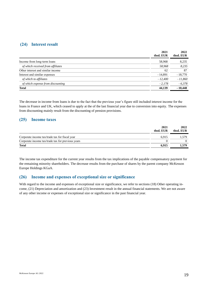#### **(24) Interest result**

|                                   | 2021<br>thsd. EUR | 2022<br>thsd. EUR |
|-----------------------------------|-------------------|-------------------|
| Income from long-term loans       | 58,968            | 8,235             |
| of which received from affiliates | 58,968            | 8,235             |
| Other interest and similar income | 62                | 87                |
| Interest and similar expenses     | $-14,891$         | $-18,770$         |
| of which to affiliates            | $-12,400$         | $-11,860$         |
| of which expense from discounting | $-2,178$          | $-6,378$          |
| Total                             | 44,139            | $-10,448$         |

The decrease in income from loans is due to the fact that the previous year's figure still included interest income for the loans in France and UK, which ceased to apply at the of the last financial year due to conversion into equity. The expenses from discounting mainly result from the discounting of pension provisions.

#### **(25) Income taxes**

|                                                   | 2021<br>thsd. EUR | 2022<br>thsd. EUR |
|---------------------------------------------------|-------------------|-------------------|
| Corporate income tax/trade tax for fiscal year    | 6.915             | 1.579             |
| Corporate income tax/trade tax for previous years |                   |                   |
| <b>Total</b>                                      | 6.915             | 1.579             |

The income tax expenditure for the current year results from the tax implications of the payable compensatory payment for the remaining minority shareholders. The decrease results from the purchase of shares by the parent company McKesson Europe Holdings KGaA.

#### **(26) Income and expenses of exceptional size or significance**

With regard to the income and expenses of exceptional size or significance, we refer to sections (18) Other operating income, (21) Depreciation and amortization and (23) Investment result in the annual financial statements. We are not aware of any other income or expenses of exceptional size or significance in the past financial year.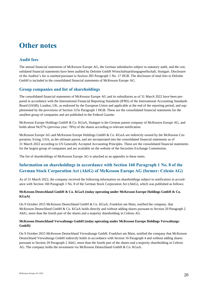# **Other notes**

### **Audit fees**

The annual financial statements of McKesson Europe AG, the German subsidiaries subject to statutory audit, and the consolidated financial statements have been audited by Deloitte GmbH Wirtschaftsprüfungsgesellschaft, Stuttgart. Disclosure of the Auditor's fee is omitted pursuant to Section 285 Paragraph 1 No. 17 HGB. The disclosure of total fees to Deloitte GmbH is included in the consolidated financial statements of McKesson Europe AG.

#### **Group companies and list of shareholdings**

The consolidated financial statements of McKesson Europe AG and its subsidiaries as of 31 March 2022 have been prepared in accordance with the International Financial Reporting Standards (IFRS) of the International Accounting Standards Board (IASB), London, UK, as endorsed by the European Union and applicable at the end of the reporting period, and supplemented by the provisions of Section 315e Paragraph 1 HGB. These are the consolidated financial statements for the smallest group of companies and are published in the Federal Gazette.

McKesson Europe Holdings GmbH & Co. KGaA, Stuttgart is the German parent company of McKesson Europe AG, and holds about 94,97% (previous year: 78%) of the shares according to relevant notification.

McKesson Europe AG and McKesson Europe Holdings GmbH & Co. KGaA are indirectly owned by the McKesson Corporation, Irving, USA, as the ultimate parent, and are incorporated into the consolidated financial statements as of 31 March 2022 according to US Generally Accepted Accounting Principles. These are the consolidated financial statements for the largest group of companies and are available on the website of the Securities Exchange Commission.

The list of shareholdings of McKesson Europe AG is attached as an appendix to these notes.

### **Information on shareholdings in accordance with Section 160 Paragraph 1 No. 8 of the German Stock Corporation Act (AktG) of McKesson Europe AG (former: Celesio AG)**

As of 31 March 2022, the company received the following information on shareholdings subject to notification in accordance with Section 160 Paragraph 1 No. 8 of the German Stock Corporation Act (AktG), which was published as follows:

#### **McKesson Deutschland GmbH & Co. KGaA (today operating under McKesson Europe Holdings GmbH & Co. KGaA)**

On 9 October 2015 McKesson Deutschland GmbH & Co. KGaA, Frankfurt am Main, notified the company, that McKesson Deutschland GmbH & Co. KGaA holds directly and without adding shares pursuant to Section 20 Paragraph 2 AktG, more than the fourth part of the shares and a majority shareholding in Celesio AG.

#### **McKesson Deutschland Verwaltungs GmbH (today operating under McKesson Europe Holdings Verwaltungs GmbH)**

On 9 October 2015 McKesson Deutschland Verwaltungs GmbH, Frankfurt am Main, notified the company that McKesson Deutschland Verwaltungs GmbH indirectly holds in accordance with Section 16 Paragraph 4 and without adding shares pursuant to Section 20 Paragraph 2 AktG, more than the fourth part of the shares and a majority shareholding in Celesio AG. The company holds the investment via McKesson Deutschland GmbH & Co. KGaA.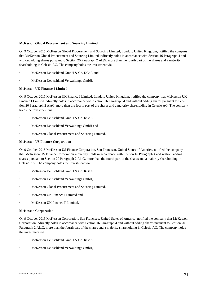#### **McKesson Global Procurement and Sourcing Limited**

On 9 October 2015 McKesson Global Procurement and Sourcing Limited, London, United Kingdom, notified the company that McKesson Global Procurement and Sourcing Limited indirectly holds in accordance with Section 16 Paragraph 4 and without adding shares pursuant to Section 20 Paragraph 2 AktG, more than the fourth part of the shares and a majority shareholding in Celesio AG. The company holds the investment via

- McKesson Deutschland GmbH & Co. KGaA and
- McKesson Deutschland Verwaltungs GmbH.

#### **McKesson UK Finance I Limited**

On 9 October 2015 McKesson UK Finance I Limited, London, United Kingdom, notified the company that McKesson UK Finance I Limited indirectly holds in accordance with Section 16 Paragraph 4 and without adding shares pursuant to Section 20 Paragraph 2 AktG, more than the fourth part of the shares and a majority shareholding in Celesio AG. The company holds the investment via

- McKesson Deutschland GmbH & Co. KGaA,
- McKesson Deutschland Verwaltungs GmbH and
- McKesson Global Procurement and Sourcing Limited.

#### **McKesson US Finance Corporation**

On 9 October 2015 McKesson US Finance Corporation, San Francisco, United States of America, notified the company that McKesson US Finance Corporation indirectly holds in accordance with Section 16 Paragraph 4 and without adding shares pursuant to Section 20 Paragraph 2 AktG, more than the fourth part of the shares and a majority shareholding in Celesio AG. The company holds the investment via

- McKesson Deutschland GmbH & Co. KGaA,
- McKesson Deutschland Verwaltungs GmbH,
- McKesson Global Procurement and Sourcing Limited,
- McKesson UK Finance I Limited and
- McKesson UK Finance II Limited.

#### **McKesson Corporation**

On 9 October 2015 McKesson Corporation, San Francisco, United States of America, notified the company that McKesson Corporation indirectly holds in accordance with Section 16 Paragraph 4 and without adding shares pursuant to Section 20 Paragraph 2 AktG, more than the fourth part of the shares and a majority shareholding in Celesio AG. The company holds the investment via

- McKesson Deutschland GmbH & Co. KGaA,
- McKesson Deutschland Verwaltungs GmbH,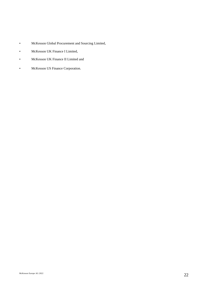- McKesson Global Procurement and Sourcing Limited,
- McKesson UK Finance I Limited,
- McKesson UK Finance II Limited and
- McKesson US Finance Corporation.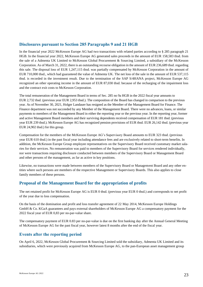#### **Disclosures pursuant to Section 285 Paragraphs 9 and 21 HGB**

In the financial year 2022 McKesson Europe AG had two transactions with related parties according to § 285 paragraph 21 HGB. In the financial year 2022, McKesson Europe AG generated sales proceeds in the amount of EUR 158,583 thsd. from the sale of a Admenta UK Limited to McKesson Global Procurement & Sourcing Limited, a subsidiary of the McKesson Corporation. As of March 31, 2022, there is an outstanding recourse obligation in the amount of EUR 236,689 thsd. regarding this sale. The disposal loss of EUR 1,247,115 thsd. was partially compensated by McKesson Corporation in the amount of EUR 710,000 thsd., which had guaranteed the value of Admenta UK. The net loss of the sale in the amount of EUR 537,115 thsd. is recorded in the investment result. Due to the termination of the SAP S/4HANA project, McKesson Europe AG recognized an other operating income in the amount of EUR 87,030 thsd. because of the recharging of the impairment loss and the contract exit costs to McKesson Corporation.

The total remuneration of the Management Board in terms of Sec. 285 no 9a HGB in the 2022 fiscal year amounts to EUR 2,732 thsd. (previous year EUR 2,953 thsd.). The composition of the Board has changed in comparison to the previous year. As of November 30, 2021, Holger Landauer has resigned as the Member of the Management Board for Finance. The Finance department was not succeeded by any Member of the Management Board. There were no advances, loans, or similar payments to members of the Management Board in either the reporting year or the previous year. In the reporting year, former and active Management Board members and their surviving dependents received compensation of EUR 181 thsd. (previous year EUR 239 thsd.). McKesson Europe AG has recognized pension provisions of EUR thsd. EUR 26,142 thsd. (previous year EUR 24,902 thsd.) for this group.

Compensation for the members of the McKesson Europe AG's Supervisory Board amounts to EUR 323 thsd. (previous year EUR 610 thsd.) in the past fiscal year including attendance fees and are exclusively related to short-term benefits. In addition, the McKesson Europe Group employee representatives on the Supervisory Board received customary market salaries for their services. No remuneration was paid to members of the Supervisory Board for services rendered individually, nor were transactions requiring disclosure conducted between members of the Supervisory Board or Management Board and other persons of the management, as far as active in key positions.

Likewise, no transactions were made between members of the Supervisory Board or Management Board and any other entities where such persons are members of the respective Management or Supervisory Boards. This also applies to close family members of these persons.

#### **Proposal of the Management Board for the appropriation of profits**

The net retained profit for McKesson Europe AG is EUR 0 thsd. (previous year EUR 0 thsd.) and corresponds to net profit of the year due to loss compensation.

On the basis of the domination and profit and loss transfer agreement of 22 May 2014, McKesson Europe Holdings GmbH & Co. KGaA guarantees and pays external shareholders of McKesson Europe AG a compensatory payment for the 2022 fiscal year of EUR 0,83 per no-par-value share.

The compensatory payment of EUR 0.83 per no-par-value is due on the first banking day after the Annual General Meeting of McKesson Europe AG for the past fiscal year, however latest 8 months after the end of the fiscal year.

#### **Events after the reporting period**

On April 6, 2022, McKesson Global Procurement & Sourcing Limited sold the subsidiary, Admenta UK Limited and its subsidiaries, which were previously acquired from McKesson Europe AG, to the pan-European asset management group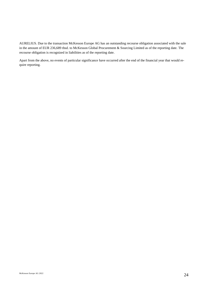AURELIUS. Due to the transaction McKesson Europe AG has an outstanding recourse obligation associated with the sale in the amount of EUR 236,689 thsd. to McKesson Global Procurement & Sourcing Limited as of the reporting date. The recourse obligation is recognized in liabilities as of the reporting date.

Apart from the above, no events of particular significance have occurred after the end of the financial year that would require reporting.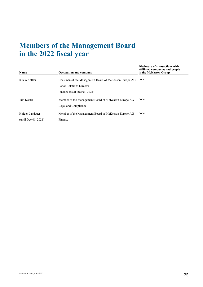# **Members of the Management Board in the 2022 fiscal year**

| Name                    | Occupation and company                                 | <b>Disclosure of transactions with</b><br>affiliated companies and people<br>in the McKesson Group |
|-------------------------|--------------------------------------------------------|----------------------------------------------------------------------------------------------------|
| Kevin Kettler           | Chairman of the Management Board of McKesson Europe AG | none                                                                                               |
|                         | Labor Relations Director                               |                                                                                                    |
|                         | Finance (as of Dec $01, 2021$ )                        |                                                                                                    |
| Tilo Köster             | Member of the Management Board of McKesson Europe AG   | none                                                                                               |
|                         | Legal and Compliance                                   |                                                                                                    |
| Holger Landauer         | Member of the Management Board of McKesson Europe AG   | none                                                                                               |
| (until Dec $01, 2021$ ) | Finance                                                |                                                                                                    |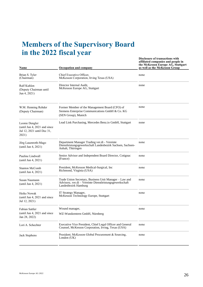# **Members of the Supervisory Board in the 2022 fiscal year**

| Name                                                                                  | Occupation and company                                                                                                                    | <b>Disclosure of transactions with</b><br>affiliated companies and people in<br>the McKesson Europe AG, Stuttgart<br>as well as the McKesson Group |
|---------------------------------------------------------------------------------------|-------------------------------------------------------------------------------------------------------------------------------------------|----------------------------------------------------------------------------------------------------------------------------------------------------|
| Brian S. Tyler<br>(Chairman)                                                          | Chief Executive Officer,<br>McKesson Corporation, Irving Texas (USA)                                                                      | none                                                                                                                                               |
| Ralf Kuhlen<br>(Deputy Chairman until<br>Jun 4, 2021)                                 | Director Internal Audit,<br>McKesson Europe AG, Stuttgart                                                                                 | none                                                                                                                                               |
| W.M. Henning Rehder<br>(Deputy Chairman)                                              | Former Member of the Management Board (CFO) of<br>Siemens Enterprise Communications GmbH & Co. KG<br>(SEN Group), Munich                  | none                                                                                                                                               |
| Leonie Dengler<br>(until Jun 4, 2021 and since<br>Jul 12, 2021 until Dec 31,<br>2021) | Lead Link Purchasing, Mercedes Benz.io GmbH, Stuttgart                                                                                    | none                                                                                                                                               |
| Jörg Lauenroth-Mago<br>(until Jun 4, 2021)                                            | Department Manager Trading ver.di - Vereinte<br>Dienstleistungsgewerkschaft Landesbezirk Sachsen, Sachsen-<br>Anhalt, Thüringen           | none                                                                                                                                               |
| Pauline Lindwall<br>(until Jun 4, 2021)                                               | Senior Advisor and Independent Board Director, Cotignac<br>(France)                                                                       | none                                                                                                                                               |
| <b>Stanton McComb</b><br>(until Jun 4, 2021)                                          | President, McKesson Medical-Surgical, Inc.<br>Richmond, Virginia (USA)                                                                    | none                                                                                                                                               |
| Susan Naumann<br>(until Jun 4, 2021)                                                  | Trade Union Secretary, Business Unit Manager - Law and<br>Advisory, ver.di – Vereinte Dienstleistungsgewerkschaft<br>Landesbezirk Hamburg | none                                                                                                                                               |
| Heike Nowak<br>(until Jun 4, 2021 and since<br>Jul 12, 2021)                          | IT Strategy Manager,<br>McKesson Technology Europe, Stuttgart                                                                             | none                                                                                                                                               |
| Fabian Sattler                                                                        | Wound manager,                                                                                                                            | none                                                                                                                                               |
| (until Jun 4, 2021 and since<br>Jan 28, 2022)                                         | WZ-Wundzentren GmbH, Nürnberg                                                                                                             |                                                                                                                                                    |
| Lori A. Schechter                                                                     | Executive Vice President, Chief Legal Officer and General<br>Counsel, McKesson Corporation, Irving, Texas (USA)                           | none                                                                                                                                               |
| Jack Stephens                                                                         | President; McKesson Global Procurement & Sourcing,<br>London $(UK)$                                                                       | none                                                                                                                                               |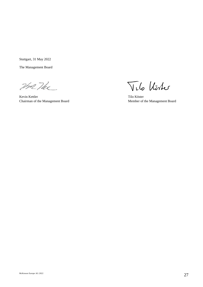Stuttgart, 31 May 2022

The Management Board

Une The

Kevin Kettler Tilo Köster Chairman of the Management Board Member of the Management Board

Vilo Uster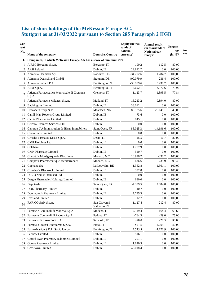# **List of shareholdings of the McKesson Europe AG, Stuttgart as at 31/03/2022 pursuant to Section 285 Paragraph 2 HGB**

| Cur<br>rent<br>No. |                                                                   |                              | Equity (in thou-<br>sands of<br>national | <b>Annual result</b><br>(in thousands of<br>National cur- | Percent-<br>age | Foot |
|--------------------|-------------------------------------------------------------------|------------------------------|------------------------------------------|-----------------------------------------------------------|-----------------|------|
|                    | Name of the company                                               | <b>Domicile, Country</b>     | currency $)^1$                           | $rency$ <sup>1</sup>                                      | $(in \%)^2$     | note |
| Ι.                 | Companies, in which McKesson Europe AG has a share of minimum 20% |                              |                                          |                                                           |                 |      |
| 1                  | A.F.M. Bergamo S.p.A.                                             | Bergamo, IT                  | 100,2                                    | $-112,5$                                                  | 80,00           |      |
| 2                  | <b>AAH</b> Ireland                                                | Dublin, IE                   | 22.892,7                                 | 0,0                                                       | 100,00          |      |
| 3                  | Admenta Denmark ApS                                               | Rodovre, DK                  | $-34.792,6$                              | 1.784,7                                                   | 100,00          |      |
| 4                  | Admenta Deutschland GmbH                                          | Stuttgart, DE                | -409.079,9                               | 236,4                                                     | 100,00          |      |
| 5                  | Admenta Italia S.P.A                                              | Bentivoglio, IT              | $-30.909,6$                              | 5.439,7                                                   | 100,00          |      |
| 6                  | AFM S.p.A.                                                        | Bentivoglio, IT              | 7.692,1                                  | $-3.372,6$                                                | 79,97           |      |
| 7                  | Azienda Farmaceutica Municipale di Cremona<br>S.p.A.              | Cremona, IT                  | 1.123,7                                  | $-1.395,5$                                                | 77,84           |      |
| 8                  | Azienda Farmacie Milanesi S.p.A.                                  | Mailand, IT                  | $-16.213,2$                              | $-9.894,0$                                                | 80,00           |      |
| 9                  | <b>Babbingore Limited</b>                                         | Dublin, IE                   | 33.012,1                                 | 0.0                                                       | 100,00          |      |
| 10                 | Brocacef Groep N.V.                                               | Maarssen, NL                 | 88.175,6                                 | $-25.145,1$                                               | 45,00           |      |
| 11                 | Cahill May Roberts Group Limited                                  | Dublin, IE                   | 73,6                                     | 0,0                                                       | 100,00          |      |
| 12                 | Camic Pharmacies Limited                                          | Dublin, IE                   | 845,1                                    | 0,0                                                       | 100,00          |      |
| 13                 | Celesio Business Services Ltd.                                    | Dublin, IE                   | 0,0                                      | 0.0                                                       | 100,00          |      |
| 14                 | Centrale d'Administration de Biens Immobiliers                    | Saint Quen, FR               | 85.025,3                                 | $-14.696,6$                                               | 100,00          |      |
| 15                 | Chem Labs Limited                                                 | Dublin, IE                   | 0,0                                      | 0,0                                                       | 100,00          |      |
| 16                 | Civiche Farmacie Desio S.p.A.                                     | Desio, IT                    | 15,5                                     | $-10,7$                                                   | 80,00           |      |
| 17                 | <b>CMR Holdings Ltd</b>                                           | Dublin, IE                   | 0.0                                      | 0.0                                                       | 100,00          |      |
| 18                 | Coleham                                                           | Dublin, IE                   | 4.777,9                                  | 0.0                                                       | 100,00          |      |
| 19                 | CMN Pharmacy Limited                                              | Dublin, IE                   | 510,7                                    | 0,0                                                       | 100,00          |      |
| 20                 | Comptoir Monégasque de Biochimie                                  | Monaco, MC                   | 16.996,2                                 | $-330,2$                                                  | 100,00          |      |
| 21                 | Comptoir Pharmaceutique Méditerranéen                             | Monaco, MC                   | $-436,6$                                 | $-235,9$                                                  | 99,40           |      |
| 22                 | Cophana SA                                                        | La Louvière, BE              | $-1.362,8$                               | 1.361,1                                                   | 100,00          |      |
| 23                 | Crowley's Blackrock Limited                                       | Dublin, IE                   | 382,8                                    | 0,0                                                       | 100,00          |      |
| 24                 | D.F. O'Neill (Chemists) Ltd                                       | Dublin, IE                   | 0,0                                      | 0,0                                                       | 100,00          |      |
| 25                 | Dargle Pharmacies Holdings Limited                                | Dublin, IE                   | 680,0                                    | 0,0                                                       | 100,00          |      |
| 26                 | Depotrade                                                         | Saint Quen, FR               | $-4.309,5$                               | 2.884,8                                                   | 100,00          |      |
| 27                 | <b>DOL Pharmacy Limited</b>                                       | Dublin, IE                   | 40,7                                     | 0,0                                                       | 100,00          |      |
| 28                 | Donnybrook Pharmacy Limited                                       | Dublin, IE                   | 7.735,3                                  | $_{0,0}$                                                  | 100,00          |      |
| 29.                | <b>Evesland Limited</b>                                           | Dublin, IE                   | 12,7                                     | 0,0                                                       | 100,00          |      |
| 30                 | FAR.CO.SAN S.p.A.                                                 | San Giovanni<br>Valdarno, IT | 1.127,4                                  | $-212,4$                                                  | 80,00           |      |
| 31                 | Farmacie Comunali di Modena S.p.A.                                | Modena, IT                   | $-2.119,4$                               | $-164,4$                                                  | 63,60           |      |
| 32                 | Farmacie Comunali di Padova S.p.A.                                | Padova, IT                   | $-764,3$                                 | $-29,0$                                                   | 75,00           |      |
| 33                 | Farmacie di Sassuolo S.p.A.                                       | Sassuolo, IT                 | $-90,0$                                  | $-21,3$                                                   | 80,00           |      |
| 34                 | Farmacie Pratesi Pratofarma S.p.A.                                | Prato, IT                    | 507,5                                    | $-1.069,1$                                                | 80,00           |      |
| 35                 | FarmAlvarion S.R.L. Socio Unico                                   | Bentivoglio, IT              | 2.745,5                                  | $-3.170,9$                                                | 100,00          |      |
| 36                 | Felview Limited                                                   | Dublin, IE                   | 516,1                                    | 0,0                                                       | 100,00          |      |
| 37                 | Gerard Ryan Pharmacy (Clonmel) Limited                            | Dublin, IE                   | 251,1                                    | 0,0                                                       | 100,00          |      |
| 38                 | Gorrys Pharmacy Limited                                           | Dublin, IE                   | 1.820,5                                  | 0,0                                                       | 100,00          |      |
| 39                 | Goviltown Limited                                                 | Dublin, IE                   | 46.018,4                                 | 0,0                                                       | 100,00          |      |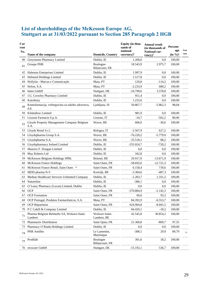# **List of shareholdings of the McKesson Europe AG, Stuttgart as at 31/03/2022 pursuant to Section 285 Paragraph 2 HGB**

| Cur<br>rent<br>No. | Name of the company                                      | <b>Domicile, Country</b>     | Equity (in thou-<br>sands of<br>national<br>currency $)^1$ | <b>Annual result</b><br>(in thousands of<br><b>National cur-</b><br>$rency$ <sup>1</sup> | Percent-<br>age<br>$(in \frac{9}{6})^2$ | Foot<br>note |
|--------------------|----------------------------------------------------------|------------------------------|------------------------------------------------------------|------------------------------------------------------------------------------------------|-----------------------------------------|--------------|
| 40                 | Greystones Pharmacy Limited                              | Dublin. IE                   | 1.268,0                                                    | 0,0                                                                                      | 100,00                                  |              |
| 41                 | Groupe PHR                                               | Boulogne-<br>Bilancourt, FR  | 18.543,9                                                   | 2.975,7                                                                                  | 100,00                                  |              |
| 42                 | Haleston Enterprises Limited                             | Dublin, IE                   | 1.997,9                                                    | 0,0                                                                                      | 100,00                                  |              |
| 43                 | Helmard Holdings Limited                                 | Dublin, IE                   | 1.517,8                                                    | 0.0                                                                                      | 100,00                                  |              |
| 44                 | Hollyfar - Marcas e Comunicação                          | Maia, PT                     | 120,8                                                      | $-114,2$                                                                                 | 100,00                                  |              |
| 45                 | Holon, S.A.                                              | Maia, PT                     | $-2.233,9$                                                 | 680,2                                                                                    | 100,00                                  |              |
| 46                 | Inten GmbH                                               | Stuttgart, DE                | $-24.790,6$                                                | 3.578,8                                                                                  | 100,00                                  |              |
| 47                 | J.G. Crowley Pharmacy Limited                            | Dublin, IE                   | 951,4                                                      | 0,0                                                                                      | 100,00                                  |              |
| 48                 | Kairnbury                                                | Dublin, IE                   | 1.232,6                                                    | 0,0                                                                                      | 100,00                                  |              |
| 49                 | Kemofarmacija, veletrgovina za oskrbo zdravstva,<br>d.d. | Ljubljana, SI                | 50.867,7                                                   | $-5.862,3$                                                                               | 98,04                                   |              |
| 50                 | Kilshallow Limited                                       | Dublin, IE                   | 981,9                                                      | 0,0                                                                                      | 100,00                                  |              |
| 51                 | Lissone Farmacie S.p.A.                                  | Lissone, IT                  | $-34,7$                                                    | $-562,2$                                                                                 | 80,00                                   |              |
| 52                 | Lloyds Property Management Company Belgium<br>S.A.       | Wavre, BE                    | 606,0                                                      | $-30,6$                                                                                  | 100,00                                  |              |
| 53                 | Lloyds Retail S.r.l.                                     | Bologna, IT                  | $-2.567,9$                                                 | 627,2                                                                                    | 100,00                                  |              |
| 54                 | Lloydspharma Group S.A.                                  | Wavre, BE                    | $-76.220,2$                                                | $-5.779,0$                                                                               | 100,00                                  |              |
| 55                 | Lloydspharma S.A.                                        | Wavre, BE                    | $-35.518,1$                                                | 88,2                                                                                     | 100,00                                  |              |
| 56                 | Lloydspharmacy Ireland Limited                           | Dublin, IE                   | $-255.024,7$                                               | $-720,2$                                                                                 | 100,00                                  |              |
| 57                 | Maurice F. Dougan Limited                                | Dublin, IE                   | 0,0                                                        | 0,0                                                                                      | 100,00                                  |              |
| 58                 | May Roberts Ltd                                          | Dublin, IE                   | 342,8                                                      | 0,0                                                                                      | 100,00                                  |              |
| 59                 | McKesson Belgium Holdings SPRL                           | Brüssel, BE                  | 29.917,0                                                   | $-13.671,9$                                                                              | 100,00                                  |              |
| 60                 | McKesson France Holdings                                 | Saint Ouen, FR               | $-58.692,6$                                                | $-12.721,3$                                                                              | 100,00                                  |              |
| 61                 | McKesson France Retail, Saint Ouen<br>∗                  | Saint Ouen, FR               | 6.158,4                                                    | 739,6                                                                                    | 100,00                                  |              |
| 62                 | MDD pharma N.V.                                          | Kortrijk, BE                 | $-3.384,6$                                                 | $-487,3$                                                                                 | 100,00                                  |              |
| 63                 | Median Healthcare Services Unlimited Company             | Dublin, IE                   | $-1.283,7$                                                 | 1.331,2                                                                                  | 100,00                                  |              |
| 64                 | Natureline                                               | Dublin, IE                   | $-386,1$                                                   | 0,0                                                                                      | 100,00                                  |              |
| 65                 | O'Leary Pharmacy (Lucan) Limited, Dublin                 | Dublin, IE                   | 0,0                                                        | 0,0                                                                                      | 100,00                                  |              |
| 66                 | <b>OCP</b>                                               | Saint Ouen, FR               | $-570.884,9$                                               | $-2.142,3$                                                                               | 100,00                                  |              |
| 67                 | <b>OCP</b> Formation                                     | Saint Ouen, FR               | 60,6                                                       | 93,2                                                                                     | 100,00                                  |              |
| 68                 | OCP Portugal, Produtos Farmacêuticos, S.A.               | Maia, PT                     | 84.392,9                                                   | $-6.553,7$                                                                               | 100,00                                  |              |
| 69                 | OCP Répartition                                          | Saint Ouen, FR               | 624.904,8                                                  | $-8.041,5$                                                                               | 100,00                                  |              |
| 70                 | P C Cahill & Company Limited                             | Dublin, IE                   | 66.429,1                                                   | $-18,2$                                                                                  | 100,00                                  |              |
| 71                 | Pharma Belgium Belmedis SA, Woluwe-Saint-<br>Lambert     | Woluwe-Saint-<br>Lambert, BE | 42.545,8                                                   | 30.854,2                                                                                 | 100,00                                  |              |
| 72                 | Pharmactiv Distribution                                  | Saint Quen, FR               | 21.360,8                                                   | $-869,7$                                                                                 | 97,55                                   |              |
| 73                 | Pharmacy O'Riada Holdings Limited                        | Dublin, IE                   | 0,0                                                        | 0,0                                                                                      | 100,00                                  |              |
| 74                 | <b>PHR</b> Antilles                                      | Le Lamentin,<br>Martinique   | $-308,1$                                                   | 29,9                                                                                     | 89,79                                   | 3)           |
| 75                 | Prodilab                                                 | Boulogne<br>Billancourt, FR  | 301,6                                                      | 18,2                                                                                     | 100,00                                  |              |
|                    | 76 recucare GmbH                                         | Stuttgart, DE                | $-15.192,1$                                                | 536,7                                                                                    | 100,00                                  |              |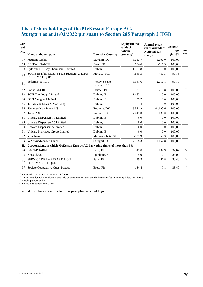# **List of shareholdings of the McKesson Europe AG, Stuttgart as at 31/03/2022 pursuant to Section 285 Paragraph 2 HGB**

| Cur<br>rent<br>No. | Name of the company                                                         | <b>Domicile, Country</b>     | Equity (in thou-<br>sands of<br>national<br>$curve(x)^1$ | <b>Annual result</b><br>(in thousands of<br><b>National cur-</b><br>$rency$ <sup>1</sup> | Percent-<br>age<br>$(in \frac{9}{6})^2$ | Foot<br>note |
|--------------------|-----------------------------------------------------------------------------|------------------------------|----------------------------------------------------------|------------------------------------------------------------------------------------------|-----------------------------------------|--------------|
| 77                 | recusana GmbH                                                               | Stuttgart, DE                | $-6.613,7$                                               | $-6.606.0$                                                                               | 100,00                                  |              |
| 78                 | <b>RESEAU SANTE</b>                                                         | Brest, FR                    | 684,6                                                    | $-515.5$                                                                                 | 100,00                                  |              |
| 79                 | Ryle and De Lacy Pharmacies Limited                                         | Dublin, IE                   | 1.161,8                                                  | 0,0                                                                                      | 100,00                                  |              |
| 80                 | SOCIETE D'ETUDES ET DE REALISATIONS<br><b>INFORMATIQUES</b>                 | Monaco, MC                   | 4.648,3                                                  | $-430.3$                                                                                 | 99,75                                   |              |
| 81                 | Sofarmex BVBA                                                               | Woluwe-Saint-<br>Lambert, BE | 5.547,6                                                  | $-2.056,1$                                                                               | 99,73                                   |              |
| 82                 | Sofiadis SCRL                                                               | Brüssel, BE                  | 321,1                                                    | $-210,8$                                                                                 | 100,00                                  | 3)           |
| 83                 | SOPI The Lough Limited                                                      | Dublin, IE                   | 1.463,1                                                  | 0,0                                                                                      | 100,00                                  |              |
| 84                 | <b>SOPI Youghal Limited</b>                                                 | Dublin, IE                   | 33,2                                                     | 0,0                                                                                      | 100,00                                  |              |
| 85                 | T. Sheridan Sales & Marketing                                               | Dublin, IE                   | 361,4                                                    | 0,0                                                                                      | 100,00                                  |              |
| 86                 | Tjellesen Max Jenne A/S                                                     | Rodovre, DK                  | 18.871,3                                                 | 61.193,6                                                                                 | 100,00                                  |              |
| 87                 | Todin A/S                                                                   | Rodovre, DK                  | 7.442,8                                                  | $-498,0$                                                                                 | 100,00                                  |              |
| 88                 | Unicare Dispensers 16 Limited                                               | Dublin, IE                   | 0,0                                                      | 0,0                                                                                      | 100,00                                  |              |
| 89                 | Unicare Dispensers 27 Limited                                               | Dublin, IE                   | 0.0                                                      | 0,0                                                                                      | 100,00                                  |              |
| 90                 | Unicare Dispensers 5 Limited                                                | Dublin, IE                   | 0.0                                                      | 0,0                                                                                      | 100,00                                  |              |
| 91                 | Unicare Pharmacy Group Limited                                              | Dublin, IE                   | 0.0                                                      | 0,0                                                                                      | 100,00                                  |              |
| 92                 | Vitapharm                                                                   | Murska sobota, SI            | $-132,9$                                                 | $-3,3$                                                                                   | 100,00                                  |              |
| 93                 | WZ-WundZentren GmbH                                                         | Stuttgart, DE                | 7.995,3                                                  | 11.152,8                                                                                 | 100,00                                  |              |
| П.                 | Corporations, in which McKesson Europe AG has voting rights of more than 5% |                              |                                                          |                                                                                          |                                         |              |
| 94                 | <b>DATAPHARM</b>                                                            | Paris, FR                    | 42,0                                                     | 192,9                                                                                    | 37,67                                   | 4)           |
| 95                 | Nensi d.o.o.                                                                | Ljubljana, SI                | 9,0                                                      | $-2,7$                                                                                   | 35,00                                   |              |
| 96                 | <b>SERVICE DE LA REPARTITION</b><br>PHARMACEUTIQUE                          | Paris, FR                    | 79,9                                                     | 31,8                                                                                     | 38,40                                   | 4)           |
| 97                 | Société Coopérative Ouest Partage                                           | Brest, FR                    | 184,4                                                    | $-7,1$                                                                                   | 38,40                                   | 4)           |

1) Information in IFRS, alternatively US GAAP

2) This calculation fully considers shares held by dependent entities, even if the share of such an entity is less than 100%.

3) Special purpose entity

4) Financial statement 31/12/2021

Beyond this, there are no further European pharmacy holdings.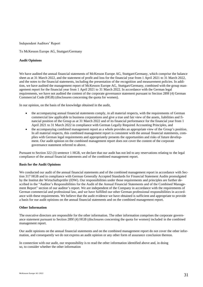Independent Auditors' Report

To McKesson Europe AG, Stuttgart/Germany

#### **Audit Opinions**

We have audited the annual financial statements of McKesson Europe AG, Stuttgart/Germany, which comprise the balance sheet as at 31 March 2022, and the statement of profit and loss for the financial year from 1 April 2021 to 31 March 2022, and the notes to the financial statements, including the presentation of the recognition and measurement policies. In addition, we have audited the management report of McKesson Europe AG, Stuttgart/Germany, combined with the group management report for the financial year from 1 April 2021 to 31 March 2022. In accordance with the German legal requirements, we have not audited the content of the corporate governance statement pursuant to Section 289f (4) German Commercial Code (HGB) (disclosures concerning the quota for women).

In our opinion, on the basis of the knowledge obtained in the audit,

- the accompanying annual financial statements comply, in all material respects, with the requirements of German commercial law applicable to business corporations and give a true and fair view of the assets, liabilities and financial position of the Group as at 31 March 2022 and of its financial performance for the financial year from 1 April 2021 to 31 March 2022 in compliance with German Legally Required Accounting Principles, and
- the accompanying combined management report as a whole provides an appropriate view of the Group's position. In all material respects, this combined management report is consistent with the annual financial statements, complies with German legal requirements and appropriately presents the opportunities and risks of future development. Our audit opinion on the combined management report does not cover the content of the corporate governance statement referred to above.

Pursuant to Section 322 (3) sentence 1 HGB, we declare that our audit has not led to any reservations relating to the legal compliance of the annual financial statements and of the combined management report.

#### **Basis for the Audit Opinions**

We conducted our audit of the annual financial statements and of the combined management report in accordance with Section 317 HGB and in compliance with German Generally Accepted Standards for Financial Statement Audits promulgated by the Institut der Wirtschaftsprüfer (IDW). Our responsibilities under those requirements and principles are further described in the "Auditor's Responsibilities for the Audit of the Annual Financial Statements and of the Combined Management Report" section of our auditor's report. We are independent of the Company in accordance with the requirements of German commercial and professional law, and we have fulfilled our other German professional responsibilities in accordance with these requirements. We believe that the audit evidence we have obtained is sufficient and appropriate to provide a basis for our audit opinions on the annual financial statements and on the combined management report.

#### **Other Information**

The executive directors are responsible for the other information. The other information comprises the corporate governance statement pursuant to Section 289f (4) HGB (disclosures concerning the quota for women) included in the combined management report.

Our audit opinions on the annual financial statements and on the combined management report do not cover the other information, and consequently we do not express an audit opinion or any other form of assurance conclusion thereon.

In connection with our audit, our responsibility is to read the other information identified above and, in doing so, to consider whether the other information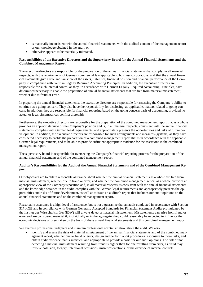- is materially inconsistent with the annual financial statements, with the audited content of the management report or our knowledge obtained in the audit, or
- otherwise appears to be materially misstated.

#### **Responsibilities of the Executive Directors and the Supervisory Board for the Annual Financial Statements and the Combined Management Report**

The executive directors are responsible for the preparation of the annual financial statements that comply, in all material respects, with the requirements of German commercial law applicable to business corporations, and that the annual financial statements give a true and fair view of the assets, liabilities, financial position and financial performance of the Company in compliance with German Legally Required Accounting Principles. In addition, the executive directors are responsible for such internal control as they, in accordance with German Legally Required Accounting Principles, have determined necessary to enable the preparation of annual financial statements that are free from material misstatement, whether due to fraud or error.

In preparing the annual financial statements, the executive directors are responsible for assessing the Company's ability to continue as a going concern. They also have the responsibility for disclosing, as applicable, matters related to going concern. In addition, they are responsible for financial reporting based on the going concern basis of accounting, provided no actual or legal circumstances conflict therewith.

Furthermore, the executive directors are responsible for the preparation of the combined management report that as a whole provides an appropriate view of the Company's position and is, in all material respects, consistent with the annual financial statements, complies with German legal requirements, and appropriately presents the opportunities and risks of future development. In addition, the executive directors are responsible for such arrangements and measures (systems) as they have considered necessary to enable the preparation of a combined management report that is in accordance with the applicable German legal requirements, and to be able to provide sufficient appropriate evidence for the assertions in the combined management report.

The supervisory board is responsible for overseeing the Company's financial reporting process for the preparation of the annual financial statements and of the combined management report.

#### **Auditor's Responsibilities for the Audit of the Annual Financial Statements and of the Combined Management Report**

Our objectives are to obtain reasonable assurance about whether the annual financial statements as a whole are free from material misstatement, whether due to fraud or error, and whether the combined management report as a whole provides an appropriate view of the Company's position and, in all material respects, is consistent with the annual financial statements and the knowledge obtained in the audit, complies with the German legal requirements and appropriately presents the opportunities and risks of future development, as well as to issue an auditor's report that includes our audit opinions on the annual financial statements and on the combined management report.

Reasonable assurance is a high level of assurance, but is not a guarantee that an audit conducted in accordance with Section 317 HGB and in compliance with German Generally Accepted Standards for Financial Statement Audits promulgated by the Institut der Wirtschaftsprüfer (IDW) will always detect a material misstatement. Misstatements can arise from fraud or error and are considered material if, individually or in the aggregate, they could reasonably be expected to influence the economic decisions of users taken on the basis of these annual financial statements and this combined management report.

We exercise professional judgment and maintain professional scepticism throughout the audit. We also

identify and assess the risks of material misstatement of the annual financial statements and of the combined management report, whether due to fraud or error, design and perform audit procedures responsive to those risks, and obtain audit evidence that is sufficient and appropriate to provide a basis for our audit opinions. The risk of not detecting a material misstatement resulting from fraud is higher than for one resulting from error, as fraud may involve collusion, forgery, intentional omissions, misrepresentations, or the override of internal controls.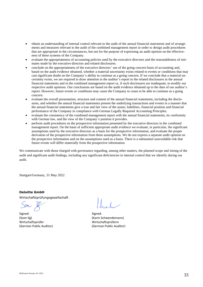- obtain an understanding of internal control relevant to the audit of the annual financial statements and of arrangements and measures relevant to the audit of the combined management report in order to design audit procedures that are appropriate in the circumstances, but not for the purpose of expressing an audit opinion on the effectiveness of these systems of the Company.
- evaluate the appropriateness of accounting policies used by the executive directors and the reasonableness of estimates made by the executive directors and related disclosures.
- conclude on the appropriateness of the executive directors' use of the going concern basis of accounting and, based on the audit evidence obtained, whether a material uncertainty exists related to events or conditions that may cast significant doubt on the Company's ability to continue as a going concern. If we conclude that a material uncertainty exists, we are required to draw attention in the auditor's report to the related disclosures in the annual financial statements and in the combined management report or, if such disclosures are inadequate, to modify our respective audit opinions. Our conclusions are based on the audit evidence obtained up to the date of our auditor's report. However, future events or conditions may cause the Company to cease to be able to continue as a going concern.
- evaluate the overall presentation, structure and content of the annual financial statements, including the disclosures, and whether the annual financial statements present the underlying transactions and events in a manner that the annual financial statements give a true and fair view of the assets, liabilities, financial position and financial performance of the Company in compliance with German Legally Required Accounting Principles.
- evaluate the consistency of the combined management report with the annual financial statements, its conformity with German law, and the view of the Company's position it provides.
- perform audit procedures on the prospective information presented by the executive directors in the combined management report. On the basis of sufficient appropriate audit evidence we evaluate, in particular, the significant assumptions used by the executive directors as a basis for the prospective information, and evaluate the proper derivation of the prospective information from these assumptions. We do not express a separate audit opinion on the prospective information and on the assumptions used as a basis. There is a substantial unavoidable risk that future events will differ materially from the prospective information.

We communicate with those charged with governance regarding, among other matters, the planned scope and timing of the audit and significant audit findings, including any significant deficiencies in internal control that we identify during our audit.

Stuttgart/Germany, 31 May 2022

#### **Deloitte GmbH**

Wirtschaftsprüfungsgesellschaft

Signed: Signed: (Sven Ilg) (Karin Schwendemann) Wirtschaftsprüfer Wirtschaftsprüferin (German Public Auditor) (German Public Auditor)